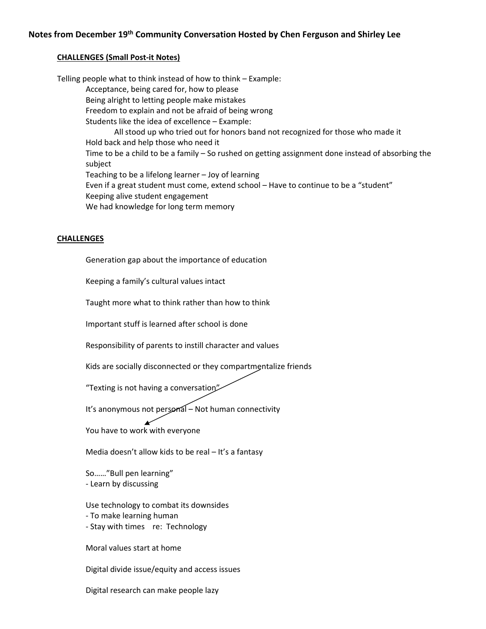## **CHALLENGES (Small Post‐it Notes)**

Telling people what to think instead of how to think – Example: Acceptance, being cared for, how to please Being alright to letting people make mistakes Freedom to explain and not be afraid of being wrong Students like the idea of excellence – Example: All stood up who tried out for honors band not recognized for those who made it Hold back and help those who need it Time to be a child to be a family – So rushed on getting assignment done instead of absorbing the subject Teaching to be a lifelong learner – Joy of learning Even if a great student must come, extend school – Have to continue to be a "student" Keeping alive student engagement We had knowledge for long term memory

## **CHALLENGES**

Generation gap about the importance of education

Keeping a family's cultural values intact

Taught more what to think rather than how to think

Important stuff is learned after school is done

Responsibility of parents to instill character and values

Kids are socially disconnected or they compartmentalize friends

"Texting is not having a conversation"

It's anonymous not personal - Not human connectivity

You have to work with everyone

Media doesn't allow kids to be real – It's a fantasy

So……"Bull pen learning" ‐ Learn by discussing

Use technology to combat its downsides

- ‐ To make learning human
- ‐ Stay with times re: Technology

Moral values start at home

Digital divide issue/equity and access issues

Digital research can make people lazy